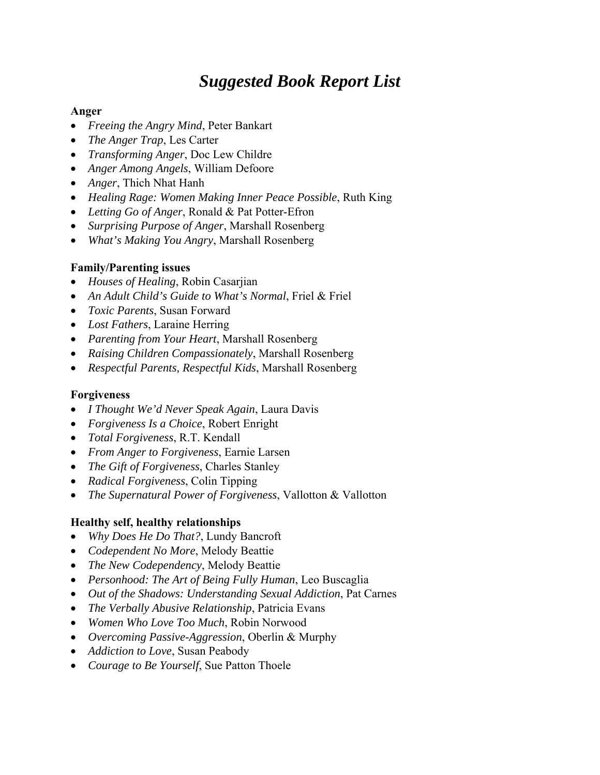## *Suggested Book Report List*

#### **Anger**

- *Freeing the Angry Mind*, Peter Bankart
- *The Anger Trap*, Les Carter
- *Transforming Anger*, Doc Lew Childre
- *Anger Among Angels*, William Defoore
- *Anger*, Thich Nhat Hanh
- *Healing Rage: Women Making Inner Peace Possible*, Ruth King
- *Letting Go of Anger*, Ronald & Pat Potter-Efron
- *Surprising Purpose of Anger*, Marshall Rosenberg
- *What's Making You Angry*, Marshall Rosenberg

### **Family/Parenting issues**

- *Houses of Healing*, Robin Casarjian
- *An Adult Child's Guide to What's Normal*, Friel & Friel
- *Toxic Parents*, Susan Forward
- *Lost Fathers*, Laraine Herring
- *Parenting from Your Heart*, Marshall Rosenberg
- *Raising Children Compassionately*, Marshall Rosenberg
- *Respectful Parents, Respectful Kids*, Marshall Rosenberg

#### **Forgiveness**

- *I Thought We'd Never Speak Again*, Laura Davis
- *Forgiveness Is a Choice*, Robert Enright
- *Total Forgiveness*, R.T. Kendall
- *From Anger to Forgiveness*, Earnie Larsen
- *The Gift of Forgiveness*, Charles Stanley
- *Radical Forgiveness*, Colin Tipping
- *The Supernatural Power of Forgiveness*, Vallotton & Vallotton

## **Healthy self, healthy relationships**

- *Why Does He Do That?*, Lundy Bancroft
- *Codependent No More*, Melody Beattie
- *The New Codependency*, Melody Beattie
- *Personhood: The Art of Being Fully Human*, Leo Buscaglia
- *Out of the Shadows: Understanding Sexual Addiction*, Pat Carnes
- *The Verbally Abusive Relationship*, Patricia Evans
- *Women Who Love Too Much*, Robin Norwood
- *Overcoming Passive-Aggression*, Oberlin & Murphy
- *Addiction to Love*, Susan Peabody
- *Courage to Be Yourself*, Sue Patton Thoele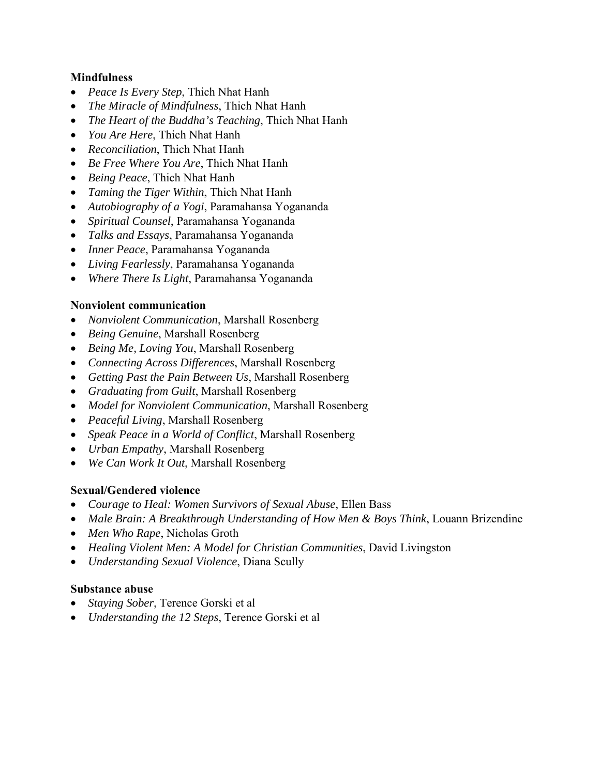#### **Mindfulness**

- *Peace Is Every Step*, Thich Nhat Hanh
- *The Miracle of Mindfulness*, Thich Nhat Hanh
- *The Heart of the Buddha's Teaching*, Thich Nhat Hanh
- *You Are Here*, Thich Nhat Hanh
- *Reconciliation*, Thich Nhat Hanh
- *Be Free Where You Are*, Thich Nhat Hanh
- *Being Peace*, Thich Nhat Hanh
- *Taming the Tiger Within*, Thich Nhat Hanh
- *Autobiography of a Yogi*, Paramahansa Yogananda
- *Spiritual Counsel*, Paramahansa Yogananda
- *Talks and Essays*, Paramahansa Yogananda
- *Inner Peace*, Paramahansa Yogananda
- *Living Fearlessly*, Paramahansa Yogananda
- *Where There Is Light*, Paramahansa Yogananda

#### **Nonviolent communication**

- *Nonviolent Communication*, Marshall Rosenberg
- *Being Genuine*, Marshall Rosenberg
- *Being Me, Loving You*, Marshall Rosenberg
- *Connecting Across Differences*, Marshall Rosenberg
- *Getting Past the Pain Between Us*, Marshall Rosenberg
- *Graduating from Guilt*, Marshall Rosenberg
- *Model for Nonviolent Communication*, Marshall Rosenberg
- *Peaceful Living*, Marshall Rosenberg
- *Speak Peace in a World of Conflict*, Marshall Rosenberg
- *Urban Empathy*, Marshall Rosenberg
- *We Can Work It Out*, Marshall Rosenberg

#### **Sexual/Gendered violence**

- *Courage to Heal: Women Survivors of Sexual Abuse*, Ellen Bass
- *Male Brain: A Breakthrough Understanding of How Men & Boys Think*, Louann Brizendine
- *Men Who Rape*, Nicholas Groth
- *Healing Violent Men: A Model for Christian Communities*, David Livingston
- *Understanding Sexual Violence*, Diana Scully

#### **Substance abuse**

- *Staying Sober*, Terence Gorski et al
- *Understanding the 12 Steps*, Terence Gorski et al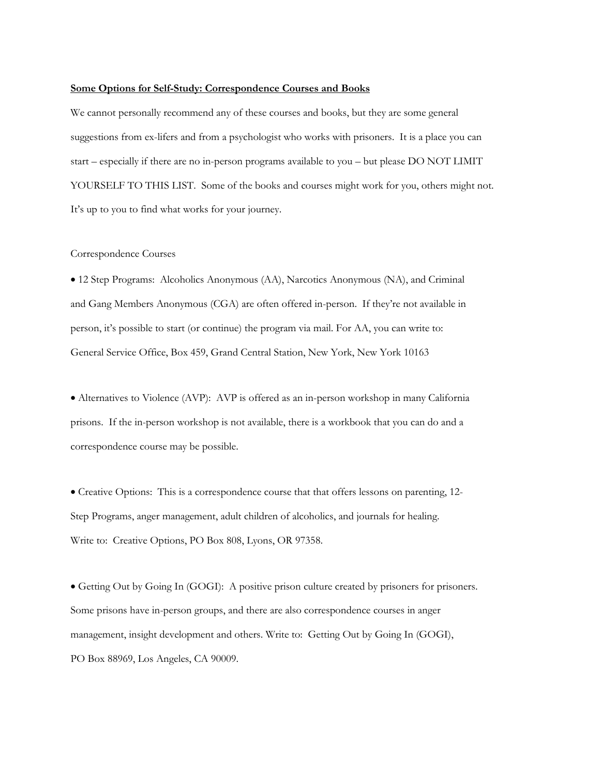#### **Some Options for Self-Study: Correspondence Courses and Books**

We cannot personally recommend any of these courses and books, but they are some general suggestions from ex-lifers and from a psychologist who works with prisoners. It is a place you can start – especially if there are no in-person programs available to you – but please DO NOT LIMIT YOURSELF TO THIS LIST. Some of the books and courses might work for you, others might not. It's up to you to find what works for your journey.

#### Correspondence Courses

• 12 Step Programs: Alcoholics Anonymous (AA), Narcotics Anonymous (NA), and Criminal and Gang Members Anonymous (CGA) are often offered in-person. If they're not available in person, it's possible to start (or continue) the program via mail. For AA, you can write to: General Service Office, Box 459, Grand Central Station, New York, New York 10163

• Alternatives to Violence (AVP): AVP is offered as an in-person workshop in many California prisons. If the in-person workshop is not available, there is a workbook that you can do and a correspondence course may be possible.

• Creative Options: This is a correspondence course that that offers lessons on parenting, 12- Step Programs, anger management, adult children of alcoholics, and journals for healing. Write to: Creative Options, PO Box 808, Lyons, OR 97358.

• Getting Out by Going In (GOGI): A positive prison culture created by prisoners for prisoners. Some prisons have in-person groups, and there are also correspondence courses in anger management, insight development and others. Write to: Getting Out by Going In (GOGI), PO Box 88969, Los Angeles, CA 90009.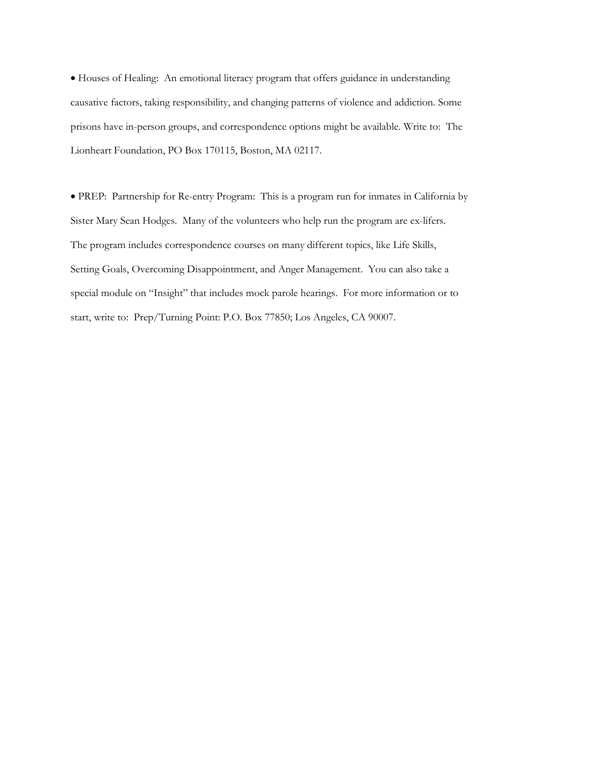• Houses of Healing: An emotional literacy program that offers guidance in understanding causative factors, taking responsibility, and changing patterns of violence and addiction. Some prisons have in-person groups, and correspondence options might be available. Write to: The Lionheart Foundation, PO Box 170115, Boston, MA 02117.

• PREP: Partnership for Re-entry Program: This is a program run for inmates in California by Sister Mary Sean Hodges. Many of the volunteers who help run the program are ex-lifers. The program includes correspondence courses on many different topics, like Life Skills, Setting Goals, Overcoming Disappointment, and Anger Management. You can also take a special module on "Insight" that includes mock parole hearings. For more information or to start, write to: Prep/Turning Point: P.O. Box 77850; Los Angeles, CA 90007.